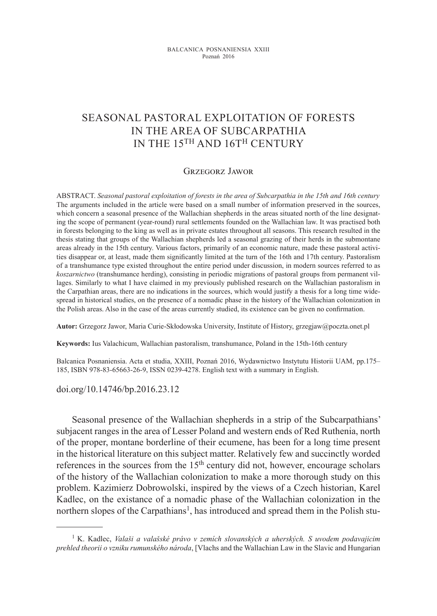# SEASONAL PASTORAL EXPLOITATION OF FORESTS IN THE AREA oF SUBCARPATHIA IN THE 15TH AND 16TH CENTURY

### Grzegorz Jawor

ABSTRACT. *Seasonal pastoral exploitation of forests in the area of Subcarpathia in the 15th and 16th century* The arguments included in the article were based on a small number of information preserved in the sources, which concern a seasonal presence of the Wallachian shepherds in the areas situated north of the line designating the scope of permanent (year-round) rural settlements founded on the Wallachian law. It was practised both in forests belonging to the king as well as in private estates throughout all seasons. This research resulted in the thesis stating that groups of the Wallachian shepherds led a seasonal grazing of their herds in the submontane areas already in the 15th century. Various factors, primarily of an economic nature, made these pastoral activities disappear or, at least, made them significantly limited at the turn of the 16th and 17th century. Pastoralism of a transhumance type existed throughout the entire period under discussion, in modern sources referred to as *koszarnictwo* (transhumance herding), consisting in periodic migrations of pastoral groups from permanent villages. Similarly to what I have claimed in my previously published research on the Wallachian pastoralism in the Carpathian areas, there are no indications in the sources, which would justify a thesis for a long time widespread in historical studies, on the presence of a nomadic phase in the history of the Wallachian colonization in the Polish areas. Also in the case of the areas currently studied, its existence can be given no confirmation.

**Autor:** Grzegorz Jawor, Maria Curie-Skłodowska University, Institute of History, grzegjaw@poczta.onet.pl

**Keywords:** Ius Valachicum, Wallachian pastoralism, transhumance, Poland in the 15th-16th century

Balcanica Posnaniensia. Acta et studia, XXIII, Poznań 2016, Wydawnictwo Instytutu Historii UAM, pp.175– 185, ISBN 978-83-65663-26-9, ISSN 0239-4278. English text with a summary in English.

doi.org/10.14746/bp.2016.23.12

Seasonal presence of the Wallachian shepherds in a strip of the Subcarpathians' subjacent ranges in the area of Lesser Poland and western ends of Red Ruthenia, north of the proper, montane borderline of their ecumene, has been for a long time present in the historical literature on this subject matter. Relatively few and succinctly worded references in the sources from the  $15<sup>th</sup>$  century did not, however, encourage scholars of the history of the Wallachian colonization to make a more thorough study on this problem. Kazimierz Dobrowolski, inspired by the views of a Czech historian, Karel Kadlec, on the existance of a nomadic phase of the Wallachian colonization in the northern slopes of the Carpathians<sup>1</sup>, has introduced and spread them in the Polish stu-

<sup>1</sup> K. Kadlec, *Valaši a valašské právo v zemích slovanských a uherských. S uvodem podavajicim prehled theorii o vzniku rumunského národa*, [Vlachs and the Wallachian Law in the Slavic and Hungarian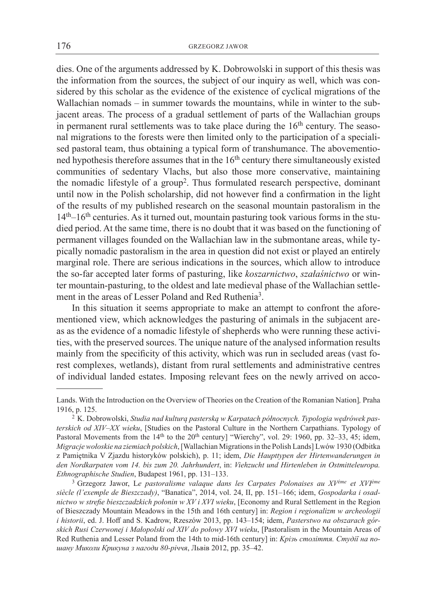dies. One of the arguments addressed by K. Dobrowolski in support of this thesis was the information from the sources, the subject of our inquiry as well, which was considered by this scholar as the evidence of the existence of cyclical migrations of the Wallachian nomads – in summer towards the mountains, while in winter to the subjacent areas. The process of a gradual settlement of parts of the Wallachian groups in permanent rural settlements was to take place during the  $16<sup>th</sup>$  century. The seasonal migrations to the forests were then limited only to the participation of a specialised pastoral team, thus obtaining a typical form of transhumance. The abovementioned hypothesis therefore assumes that in the 16th century there simultaneously existed communities of sedentary Vlachs, but also those more conservative, maintaining the nomadic lifestyle of a group<sup>2</sup>. Thus formulated research perspective, dominant until now in the Polish scholarship, did not however find a confirmation in the light of the results of my published research on the seasonal mountain pastoralism in the  $14<sup>th</sup>$ – $16<sup>th</sup>$  centuries. As it turned out, mountain pasturing took various forms in the studied period. At the same time, there is no doubt that it was based on the functioning of permanent villages founded on the Wallachian law in the submontane areas, while typically nomadic pastoralism in the area in question did not exist or played an entirely marginal role. There are serious indications in the sources, which allow to introduce the so-far accepted later forms of pasturing, like *koszarnictwo*, *szałaśnictwo* or winter mountain-pasturing, to the oldest and late medieval phase of the Wallachian settlement in the areas of Lesser Poland and Red Ruthenia3.

In this situation it seems appropriate to make an attempt to confront the aforementioned view, which acknowledges the pasturing of animals in the subjacent areas as the evidence of a nomadic lifestyle of shepherds who were running these activities, with the preserved sources. The unique nature of the analysed information results mainly from the specificity of this activity, which was run in secluded areas (vast forest complexes, wetlands), distant from rural settlements and administrative centres of individual landed estates. Imposing relevant fees on the newly arrived on acco-

Lands. With the Introduction on the Overview of Theories on the Creation of the Romanian Nation]*,* Praha 1916, p. 125.

<sup>2</sup> K. Dobrowolski, *Studia nad kulturą pasterską w Karpatach północnych. Typologia wędrówek pasterskich od XIV–XX wieku*, [Studies on the Pastoral Culture in the Northern Carpathians. Typology of Pastoral Movements from the  $14<sup>th</sup>$  to the  $20<sup>th</sup>$  century] "Wierchy", vol. 29: 1960, pp. 32–33, 45; idem, *Migracje wołoskie na ziemiach polskich*,[Wallachian Migrationsin the Polish Lands] Lwów 1930 (Odbitka z Pamiętnika V Zjazdu historyków polskich), p. 11; idem, *Die Haupttypen der Hirtenwanderungen in den Nordkarpaten vom 14. bis zum 20. Jahrhundert*, in: *Viehzucht und Hirtenleben in Ostmitteleuropa. Ethnographische Studien*, Budapest 1961, pp. 131–133.

<sup>3</sup> Grzegorz Jawor, L*e pastoralisme valaque dans les Carpates Polonaises au XVème et XVIème siècle (l'exemple de Bieszczady)*, "Banatica", 2014, vol. 24, II, pp. 151–166; idem, *Gospodarka i osadnictwo w strefie bieszczadzkich połonin w XV i XVI wieku*, [Economy and Rural Settlement in the Region of Bieszczady Mountain Meadows in the 15th and 16th century] in: *Region i regionalizm w archeologii i historii*, ed. J. Hoff and S. Kadrow, Rzeszów 2013, pp. 143–154; idem, *Pasterstwo na obszarach górskich Rusi Czerwonej i Małopolski od XIV do połowy XVI wieku*, [Pastoralism in the Mountain Areas of Red Ruthenia and Lesser Poland from the 14th to mid-16th century] in: *Kpiзь століття. Cтудії на пошану Миколи Крикуна з нагоди 80-річчя*, Львів 2012, pp. 35–42.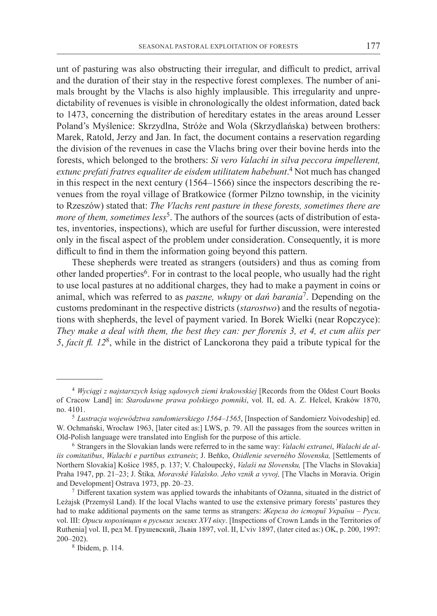unt of pasturing was also obstructing their irregular, and difficult to predict, arrival and the duration of their stay in the respective forest complexes. The number of animals brought by the Vlachs is also highly implausible. This irregularity and unpredictability of revenues is visible in chronologically the oldest information, dated back to 1473, concerning the distribution of hereditary estates in the areas around Lesser Poland's Myślenice: Skrzydlna, Stróże and Wola (Skrzydlańska) between brothers: Marek, Ratold, Jerzy and Jan. In fact, the document contains a reservation regarding the division of the revenues in case the Vlachs bring over their bovine herds into the forests, which belonged to the brothers: *Si vero Valachi in silva peccora impellerent, extunc prefati fratres equaliter de eisdem utilitatem habebunt*. <sup>4</sup> Not much has changed in this respect in the next century (1564–1566) since the inspectors describing the revenues from the royal village of Bratkowice (former Pilzno township, in the vicinity to Rzeszów) stated that: *The Vlachs rent pasture in these forests, sometimes there are more of them, sometimes less<sup>5</sup>*. The authors of the sources (acts of distribution of estates, inventories, inspections), which are useful for further discussion, were interested only in the fiscal aspect of the problem under consideration. Consequently, it is more difficult to find in them the information going beyond this pattern.

These shepherds were treated as strangers (outsiders) and thus as coming from other landed properties<sup>6</sup>. For in contrast to the local people, who usually had the right to use local pastures at no additional charges, they had to make a payment in coins or animal, which was referred to as *paszne, wkupy* or *dań barania*7. Depending on the customs predominant in the respective districts (*starostwo*) and the results of negotiations with shepherds, the level of payment varied. In Borek Wielki (near Ropczyce): *They make a deal with them, the best they can: per florenis 3, et 4, et cum aliis per 5*, *facit fl. 12*8, while in the district of Lanckorona they paid a tribute typical for the

<sup>4</sup> *Wyciągi z najstarszych ksiąg sądowych ziemi krakowskiej* [Records from the Oldest Court Books of Cracow Land] in: *Starodawne prawa polskiego pomniki*, vol. II, ed. A. Z. Helcel, Kraków 1870, no. 4101.

<sup>5</sup> *Lustracja województwa sandomierskiego 1564–1565*, [Inspection of Sandomierz Voivodeship] ed. W. Ochmański, Wrocław 1963, [later cited as:] LWS, p. 79. All the passages from the sources written in Old-Polish language were translated into English for the purpose of this article.

<sup>6</sup> Strangers in the Slovakian lands were referred to in the same way: *Valachi extranei*, *Walachi de aliis comitatibus*, *Walachi e partibus extraneis*; J. Beňko, *Osidlenie severného Slovenska,* [Settlements of Northern Slovakia] Košice 1985, p. 137; V. Chaloupecký, *Valaši na Slovensku,* [The Vlachs in Slovakia] Praha 1947, pp. 21–23; J. Štika*, Moravské Valašsko. Jeho vznik a vyvoj,* [The Vlachs in Moravia. Origin and Development] Ostrava 1973, pp. 20–23.

 $\frac{7}{7}$  Different taxation system was applied towards the inhabitants of Ożanna, situated in the district of Leżajsk (Przemyśl Land). If the local Vlachs wanted to use the extensive primary forests' pastures they had to make additional payments on the same terms as strangers: *Жерела до істориї України – Руси*. vol. III: *Ориси королівщин в руських землях XVI віку*. [Inspections of Crown Lands in the Territories of Ruthenia] vol. II, ред М. Грушевский, Львів 1897, vol. II, L'viv 1897, (later cited as:) OK, p. 200, 1997: 200–202).

<sup>8</sup> Ibidem, p. 114.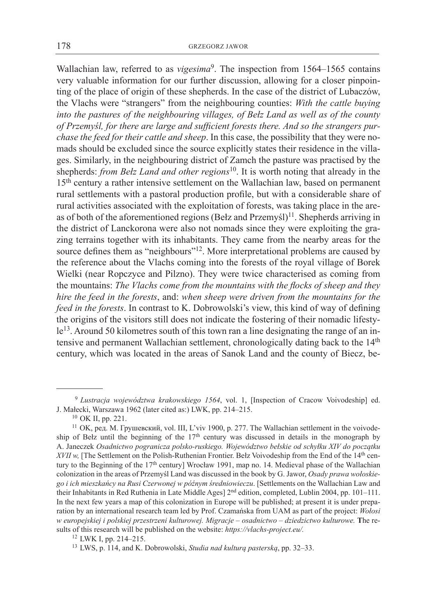Wallachian law, referred to as *vigesima*<sup>9</sup>. The inspection from 1564–1565 contains very valuable information for our further discussion, allowing for a closer pinpointing of the place of origin of these shepherds. In the case of the district of Lubaczów, the Vlachs were "strangers" from the neighbouring counties: *With the cattle buying into the pastures of the neighbouring villages, of Bełz Land as well as of the county of Przemyśl, for there are large and sufficient forests there. And so the strangers purchase the feed for their cattle and sheep*. In this case, the possibility that they were nomads should be excluded since the source explicitly states their residence in the villages. Similarly, in the neighbouring district of Zamch the pasture was practised by the shepherds: *from Bełz Land and other regions*10. It is worth noting that already in the 15<sup>th</sup> century a rather intensive settlement on the Wallachian law, based on permanent rural settlements with a pastoral production profile, but with a considerable share of rural activities associated with the exploitation of forests, was taking place in the areas of both of the aforementioned regions (Bełz and Przemyśl) $^{11}$ . Shepherds arriving in the district of Lanckorona were also not nomads since they were exploiting the grazing terrains together with its inhabitants. They came from the nearby areas for the source defines them as "neighbours"<sup>12</sup>. More interpretational problems are caused by the reference about the Vlachs coming into the forests of the royal village of Borek Wielki (near Ropczyce and Pilzno). They were twice characterised as coming from the mountains: *The Vlachs come from the mountains with the flocks of sheep and they hire the feed in the forests*, and: *when sheep were driven from the mountains for the feed in the forests*. In contrast to K. Dobrowolski's view, this kind of way of defining the origins of the visitors still does not indicate the fostering of their nomadic lifestyle<sup>13</sup>. Around 50 kilometres south of this town ran a line designating the range of an intensive and permanent Wallachian settlement, chronologically dating back to the 14th century, which was located in the areas of Sanok Land and the county of Biecz, be-

<sup>10</sup> OK II, pp. 221.

<sup>9</sup> *Lustracja województwa krakowskiego 1564*, vol. 1, [Inspection of Cracow Voivodeship] ed. J. Małecki, Warszawa 1962 (later cited as:) LWK, pp. 214–215.

<sup>&</sup>lt;sup>11</sup> ОК, ред. М. Грушевский, vol. III, L'viv 1900, p. 277. The Wallachian settlement in the voivodeship of Bełz until the beginning of the  $17<sup>th</sup>$  century was discussed in details in the monograph by A. Janeczek *Osadnictwo pogranicza polsko-ruskiego. Województwo bełskie od schyłku XIV do początku XVII w,* [The Settlement on the Polish-Ruthenian Frontier. Bełz Voivodeship from the End of the 14th century to the Beginning of the 17<sup>th</sup> century] Wrocław 1991, map no. 14. Medieval phase of the Wallachian colonization in the areas of Przemyśl Land was discussed in the book by G. Jawor, *Osady prawa wołoskiego i ich mieszkańcy na Rusi Czerwonej w późnym średniowieczu*. [Settlements on the Wallachian Law and their Inhabitants in Red Ruthenia in Late Middle Ages] 2<sup>nd</sup> edition, completed, Lublin 2004, pp. 101-111. In the next few years a map of this colonization in Europe will be published; at present it is under preparation by an international research team led by Prof. Czamańska from UAM as part of the project: *Wołosi w europejskiej i polskiej przestrzeni kulturowej. Migracje – osadnictwo – dziedzictwo kulturowe.* **T**he results of this research will be published on the website: *https://vlachs-project.eu/.*

<sup>12</sup> LWK I, pp. 214–215.

<sup>13</sup> LWS, p. 114, and K. Dobrowolski, *Studia nad kulturą pasterską*, pp. 32–33.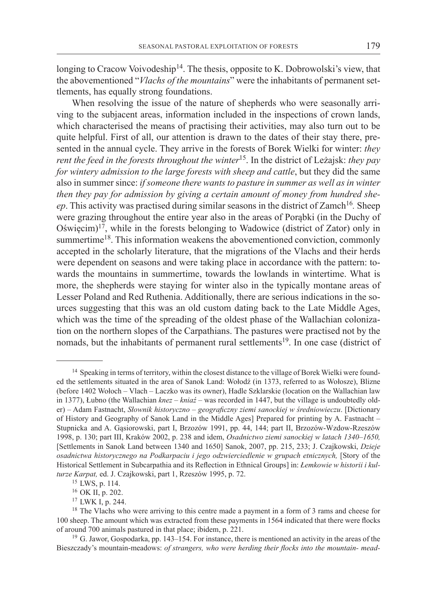longing to Cracow Voivodeship<sup>14</sup>. The thesis, opposite to K. Dobrowolski's view, that the abovementioned "*Vlachs of the mountains*" were the inhabitants of permanent settlements, has equally strong foundations.

When resolving the issue of the nature of shepherds who were seasonally arriving to the subjacent areas, information included in the inspections of crown lands, which characterised the means of practising their activities, may also turn out to be quite helpful. First of all, our attention is drawn to the dates of their stay there, presented in the annual cycle. They arrive in the forests of Borek Wielki for winter: *they rent the feed in the forests throughout the winter*15. In the district of Leżajsk: *they pay for wintery admission to the large forests with sheep and cattle*, but they did the same also in summer since: *if someone there wants to pasture in summer as well as in winter then they pay for admission by giving a certain amount of money from hundred sheep*. This activity was practised during similar seasons in the district of Zamch<sup>16</sup>. Sheep were grazing throughout the entire year also in the areas of Porąbki (in the Duchy of Oświęcim)17, while in the forests belonging to Wadowice (district of Zator) only in summertime<sup>18</sup>. This information weakens the abovementioned conviction, commonly accepted in the scholarly literature, that the migrations of the Vlachs and their herds were dependent on seasons and were taking place in accordance with the pattern: towards the mountains in summertime, towards the lowlands in wintertime. What is more, the shepherds were staying for winter also in the typically montane areas of Lesser Poland and Red Ruthenia. Additionally, there are serious indications in the sources suggesting that this was an old custom dating back to the Late Middle Ages, which was the time of the spreading of the oldest phase of the Wallachian colonization on the northern slopes of the Carpathians. The pastures were practised not by the nomads, but the inhabitants of permanent rural settlements<sup>19</sup>. In one case (district of

<sup>&</sup>lt;sup>14</sup> Speaking in terms of territory, within the closest distance to the village of Borek Wielki were founded the settlements situated in the area of Sanok Land: Wołodź (in 1373, referred to as Wołosze), Blizne (before 1402 Wołoch – Vlach – Laczko was its owner), Hadle Szklarskie (location on the Wallachian law in 1377), Łubno (the Wallachian *knez* – *kniaź* – was recorded in 1447, but the village is undoubtedly older) – Adam Fastnacht, *Słownik historyczno – geograficzny ziemi sanockiej w średniowieczu*. [Dictionary of History and Geography of Sanok Land in the Middle Ages] Prepared for printing by A. Fastnacht – Stupnicka and A. Gąsiorowski, part I, Brzozów 1991, pp. 44, 144; part II, Brzozów-Wzdow-Rzeszów 1998, p. 130; part III, Kraków 2002, p. 238 and idem, *Osadnictwo ziemi sanockiej w latach 1340–1650,*  [Settlements in Sanok Land between 1340 and 1650] Sanok, 2007, pp. 215, 233; J. Czajkowski, *Dzieje osadnictwa historycznego na Podkarpaciu i jego odzwierciedlenie w grupach etnicznych,* [Story of the Historical Settlement in Subcarpathia and its Reflection in Ethnical Groups] in: *Łemkowie w historii i kulturze Karpat,* ed. J. Czajkowski, part 1, Rzeszów 1995, p. 72.

<sup>15</sup> LWS, p. 114.

<sup>&</sup>lt;sup>16</sup> OK II, p. 202.

<sup>17</sup> LWK I, p. 244.

<sup>&</sup>lt;sup>18</sup> The Vlachs who were arriving to this centre made a payment in a form of 3 rams and cheese for 100 sheep. The amount which was extracted from these payments in 1564 indicated that there were flocks of around 700 animals pastured in that place; ibidem, p. 221.

<sup>&</sup>lt;sup>19</sup> G. Jawor, Gospodarka, pp. 143–154. For instance, there is mentioned an activity in the areas of the Bieszczady's mountain-meadows: *of strangers, who were herding their flocks into the mountain- mead-*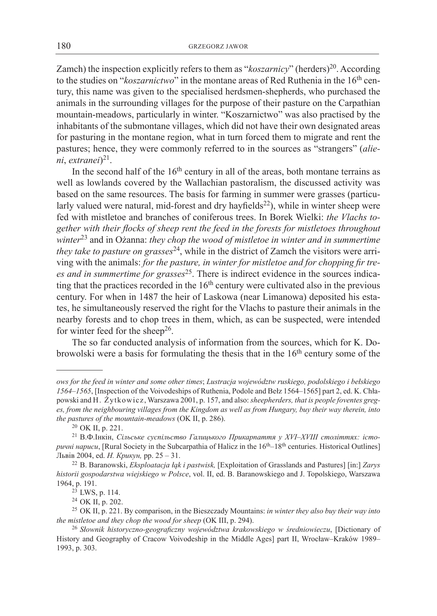Zamch) the inspection explicitly refers to them as "*koszarnicy*" (herders)<sup>20</sup>. According to the studies on "*koszarnictwo*" in the montane areas of Red Ruthenia in the 16th century, this name was given to the specialised herdsmen-shepherds, who purchased the animals in the surrounding villages for the purpose of their pasture on the Carpathian mountain-meadows, particularly in winter. "Koszarnictwo" was also practised by the inhabitants of the submontane villages, which did not have their own designated areas for pasturing in the montane region, what in turn forced them to migrate and rent the pastures; hence, they were commonly referred to in the sources as "strangers" (*alieni*, *extranei*)<sup>21</sup>.

In the second half of the  $16<sup>th</sup>$  century in all of the areas, both montane terrains as well as lowlands covered by the Wallachian pastoralism, the discussed activity was based on the same resources. The basis for farming in summer were grasses (particularly valued were natural, mid-forest and dry hayfields<sup>22</sup>), while in winter sheep were fed with mistletoe and branches of coniferous trees. In Borek Wielki: *the Vlachs together with their flocks of sheep rent the feed in the forests for mistletoes throughout winter*<sup>23</sup> and in Ożanna: *they chop the wood of mistletoe in winter and in summertime they take to pasture on grasses*<sup>24</sup>, while in the district of Zamch the visitors were arriving with the animals: *for the pasture, in winter for mistletoe and for chopping fir trees and in summertime for grasses*25. There is indirect evidence in the sources indicating that the practices recorded in the  $16<sup>th</sup>$  century were cultivated also in the previous century. For when in 1487 the heir of Laskowa (near Limanowa) deposited his estates, he simultaneously reserved the right for the Vlachs to pasture their animals in the nearby forests and to chop trees in them, which, as can be suspected, were intended for winter feed for the sheep<sup>26</sup>.

The so far conducted analysis of information from the sources, which for K. Dobrowolski were a basis for formulating the thesis that in the 16<sup>th</sup> century some of the

*ows for the feed in winter and some other times*; *Lustracja województw ruskiego, podolskiego i bełskiego 1564–1565*, [Inspection of the Voivodeships of Ruthenia, Podole and Bełz 1564–1565] part 2, ed. K. Chłapowski and H. Ż yt k owicz, Warszawa 2001, p. 157, and also: *sheepherders, that is people foventes greges, from the neighbouring villages from the Kingdom as well as from Hungary, buy their way therein, into the pastures of the mountain-meadows* (OK II, p. 286).

<sup>&</sup>lt;sup>20</sup> OK II, p. 221.

<sup>21</sup> В.Ф.Інкін, *Сільське суспільство Галицького Прикарпаття у XVI–XVIII століттях: історичні нариси*, [Rural Society in the Subcarpathia of Halicz in the 16<sup>th</sup>–18<sup>th</sup> centuries. Historical Outlines] Львів 2004, ed. *Н. Крикун,* pp. 25 – 31.

<sup>22</sup> B. Baranowski, *Eksploatacja łąk i pastwisk,* [Exploitation of Grasslands and Pastures] [in:] *Zarys historii gospodarstwa wiejskiego w Polsce*, vol. II, ed. B. Baranowskiego and J. Topolskiego, Warszawa 1964, p. 191.

<sup>23</sup> LWS, p. 114.

<sup>&</sup>lt;sup>24</sup> OK II, p. 202.

<sup>25</sup>OK II, p. 221. By comparison, in the Bieszczady Mountains: *in winter they also buy their way into the mistletoe and they chop the wood for sheep* (OK III, p. 294).

<sup>26</sup> *Słownik historyczno-geograficzny województwa krakowskiego w średniowieczu*, [Dictionary of History and Geography of Cracow Voivodeship in the Middle Ages] part II, Wrocław–Kraków 1989– 1993, p. 303.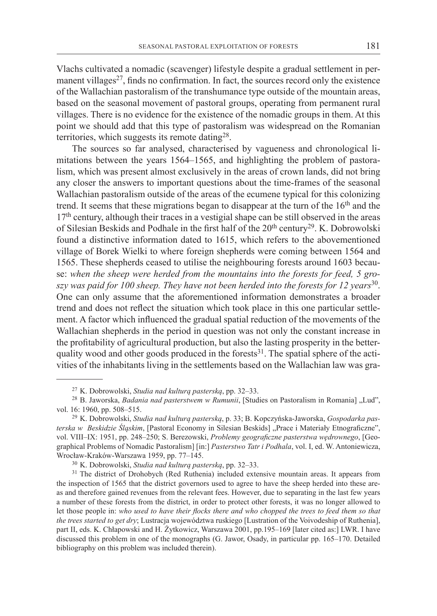Vlachs cultivated a nomadic (scavenger) lifestyle despite a gradual settlement in permanent villages<sup>27</sup>, finds no confirmation. In fact, the sources record only the existence of the Wallachian pastoralism of the transhumance type outside of the mountain areas, based on the seasonal movement of pastoral groups, operating from permanent rural villages. There is no evidence for the existence of the nomadic groups in them. At this point we should add that this type of pastoralism was widespread on the Romanian territories, which suggests its remote dating<sup>28</sup>.

The sources so far analysed, characterised by vagueness and chronological limitations between the years 1564–1565, and highlighting the problem of pastoralism, which was present almost exclusively in the areas of crown lands, did not bring any closer the answers to important questions about the time-frames of the seasonal Wallachian pastoralism outside of the areas of the ecumene typical for this colonizing trend. It seems that these migrations began to disappear at the turn of the 16<sup>th</sup> and the 17<sup>th</sup> century, although their traces in a vestigial shape can be still observed in the areas of Silesian Beskids and Podhale in the first half of the 20<sup>th</sup> century<sup>29</sup>. K. Dobrowolski found a distinctive information dated to 1615, which refers to the abovementioned village of Borek Wielki to where foreign shepherds were coming between 1564 and 1565. These shepherds ceased to utilise the neighbouring forests around 1603 because: *when the sheep were herded from the mountains into the forests for feed, 5 groszy was paid for 100 sheep. They have not been herded into the forests for 12 years*30. One can only assume that the aforementioned information demonstrates a broader trend and does not reflect the situation which took place in this one particular settlement. A factor which influenced the gradual spatial reduction of the movements of the Wallachian shepherds in the period in question was not only the constant increase in the profitability of agricultural production, but also the lasting prosperity in the betterquality wood and other goods produced in the forests<sup>31</sup>. The spatial sphere of the activities of the inhabitants living in the settlements based on the Wallachian law was gra-

<sup>27</sup> K. Dobrowolski, *Studia nad kulturą pasterską*, pp. 32–33.

<sup>&</sup>lt;sup>28</sup> B. Jaworska, *Badania nad pasterstwem w Rumunii*, [Studies on Pastoralism in Romania] "Lud", vol. 16: 1960, pp. 508–515.

<sup>29</sup> K. Dobrowolski, *Studia nad kulturą pasterską*, p. 33; B. Kopczyńska-Jaworska, *Gospodarka pasterska w Beskidzie Śląskim*, [Pastoral Economy in Silesian Beskids] "Prace i Materiały Etnograficzne", vol. VIII–IX: 1951, pp. 248–250; S. Berezowski, *Problemy geograficzne pasterstwa wędrownego*, [Geographical Problems of Nomadic Pastoralism] [in:] *Pasterstwo Tatr i Podhala*, vol. I, ed. W. Antoniewicza, Wrocław-Kraków-Warszawa 1959, pp. 77–145.

<sup>30</sup> K. Dobrowolski, *Studia nad kulturą pasterską*, pp. 32–33.

<sup>&</sup>lt;sup>31</sup> The district of Drohobych (Red Ruthenia) included extensive mountain areas. It appears from the inspection of 1565 that the district governors used to agree to have the sheep herded into these areas and therefore gained revenues from the relevant fees. However, due to separating in the last few years a number of these forests from the district, in order to protect other forests, it was no longer allowed to let those people in: *who used to have their flocks there and who chopped the trees to feed them so that the trees started to get dry*; Lustracja województwa ruskiego [Lustration of the Voivodeship of Ruthenia], part II, eds. K. Chłapowski and H. Żytkowicz, Warszawa 2001, pp.195–169 [later cited as:] LWR. I have discussed this problem in one of the monographs (G. Jawor, Osady, in particular pp. 165–170. Detailed bibliography on this problem was included therein).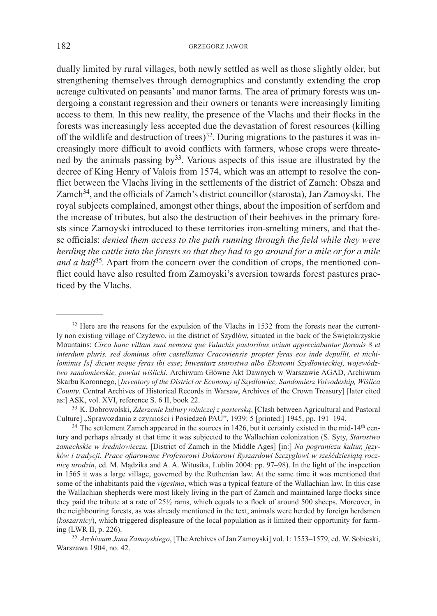dually limited by rural villages, both newly settled as well as those slightly older, but strengthening themselves through demographics and constantly extending the crop acreage cultivated on peasants' and manor farms. The area of primary forests was undergoing a constant regression and their owners or tenants were increasingly limiting access to them. In this new reality, the presence of the Vlachs and their flocks in the forests was increasingly less accepted due the devastation of forest resources (killing off the wildlife and destruction of trees)<sup>32</sup>. During migrations to the pastures it was increasingly more difficult to avoid conflicts with farmers, whose crops were threatened by the animals passing by33. Various aspects of this issue are illustrated by the decree of King Henry of Valois from 1574, which was an attempt to resolve the conflict between the Vlachs living in the settlements of the district of Zamch: Obsza and Zamch<sup>34</sup>, and the officials of Zamch's district councillor (starosta), Jan Zamoyski. The royal subjects complained, amongst other things, about the imposition of serfdom and the increase of tributes, but also the destruction of their beehives in the primary forests since Zamoyski introduced to these territories iron-smelting miners, and that these officials: *denied them access to the path running through the field while they were herding the cattle into the forests so that they had to go around for a mile or for a mile and a half*<sup>35</sup>. Apart from the concern over the condition of crops, the mentioned conflict could have also resulted from Zamoyski's aversion towards forest pastures practiced by the Vlachs.

<sup>&</sup>lt;sup>32</sup> Here are the reasons for the expulsion of the Vlachs in 1532 from the forests near the currently non existing village of Czyżewo, in the district of Szydłów, situated in the back of the Świętokrzyskie Mountains: *Circa hanc villam sunt nemora que Valachis pastoribus ovium appreciabantur florenis 8 et interdum pluris, sed dominus olim castellanus Cracoviensis, propter feras eos inde depullit, et nichilominus [s] dicunt neque feras ibi esse*; *Inwentarz starostwa albo Ekonomi Szydłowieckiej, województwo sandomierskie, powiat wiślicki.* Archiwum Główne Akt Dawnych w Warszawie AGAD, Archiwum Skarbu Koronnego, [*Inventory of the District or Economy of Szydłowiec, Sandomierz Voivodeship, Wiślica County*. Central Archives of Historical Records in Warsaw, Archives of the Crown Treasury] [later cited as:] ASK, vol. XVI, reference S. 6 II, book 22.

<sup>33</sup> K. Dobrowolski, *Zderzenie kultury rolniczej z pasterską*, [Clash between Agricultural and Pastoral Culture] "Sprawozdania z czynności i Posiedzeń PAU", 1939: 5 [printed:] 1945, pp. 191-194.

<sup>&</sup>lt;sup>34</sup> The settlement Zamch appeared in the sources in 1426, but it certainly existed in the mid-14<sup>th</sup> century and perhaps already at that time it was subjected to the Wallachian colonization (S. Syty, *Starostwo zamechskie w średniowieczu*, [District of Zamch in the Middle Ages] [in:] *Na pograniczu kultur, języków i tradycji. Prace ofiarowane Profesorowi Doktorowi Ryszardowi Szczygłowi w sześćdziesiątą rocznicę urodzin*, ed. M. Mądzika and A. A. Witusika, Lublin 2004: pp. 97–98). In the light of the inspection in 1565 it was a large village, governed by the Ruthenian law. At the same time it was mentioned that some of the inhabitants paid the *vigesima*, which was a typical feature of the Wallachian law. In this case the Wallachian shepherds were most likely living in the part of Zamch and maintained large flocks since they paid the tribute at a rate of 25½ rams, which equals to a flock of around 500 sheeps. Moreover, in the neighbouring forests, as was already mentioned in the text, animals were herded by foreign herdsmen (*koszarnicy*), which triggered displeasure of the local population as it limited their opportunity for farming (LWR II, p. 226).

<sup>&</sup>lt;sup>35</sup> Archiwum Jana Zamoyskiego, [The Archives of Jan Zamoyski] vol. 1: 1553–1579, ed. W. Sobieski, Warszawa 1904, no. 42.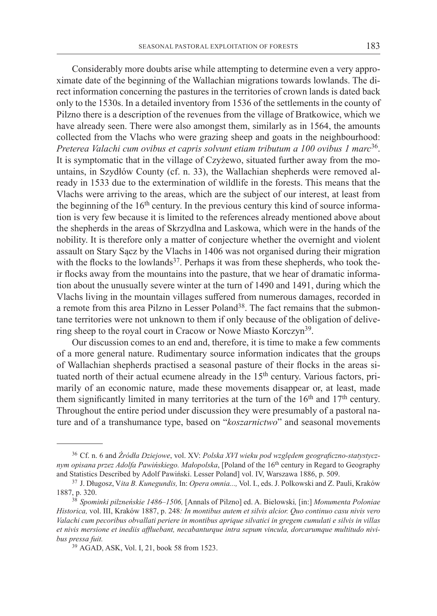Considerably more doubts arise while attempting to determine even a very approximate date of the beginning of the Wallachian migrations towards lowlands. The direct information concerning the pastures in the territories of crown lands is dated back only to the 1530s. In a detailed inventory from 1536 of the settlements in the county of Pilzno there is a description of the revenues from the village of Bratkowice, which we have already seen. There were also amongst them, similarly as in 1564, the amounts collected from the Vlachs who were grazing sheep and goats in the neighbourhood: *Preterea Valachi cum ovibus et capris solvunt etiam tributum a 100 ovibus 1 marc*<sup>36</sup>. It is symptomatic that in the village of Czyżewo, situated further away from the mountains, in Szydłów County (cf. n. 33), the Wallachian shepherds were removed already in 1533 due to the extermination of wildlife in the forests. This means that the Vlachs were arriving to the areas, which are the subject of our interest, at least from the beginning of the 16<sup>th</sup> century. In the previous century this kind of source information is very few because it is limited to the references already mentioned above about the shepherds in the areas of Skrzydlna and Laskowa, which were in the hands of the nobility. It is therefore only a matter of conjecture whether the overnight and violent assault on Stary Sącz by the Vlachs in 1406 was not organised during their migration with the flocks to the lowlands<sup>37</sup>. Perhaps it was from these shepherds, who took their flocks away from the mountains into the pasture, that we hear of dramatic information about the unusually severe winter at the turn of 1490 and 1491, during which the Vlachs living in the mountain villages suffered from numerous damages, recorded in a remote from this area Pilzno in Lesser Poland38. The fact remains that the submontane territories were not unknown to them if only because of the obligation of delivering sheep to the royal court in Cracow or Nowe Miasto Korczyn39.

Our discussion comes to an end and, therefore, it is time to make a few comments of a more general nature. Rudimentary source information indicates that the groups of Wallachian shepherds practised a seasonal pasture of their flocks in the areas situated north of their actual ecumene already in the 15<sup>th</sup> century. Various factors, primarily of an economic nature, made these movements disappear or, at least, made them significantly limited in many territories at the turn of the  $16<sup>th</sup>$  and  $17<sup>th</sup>$  century. Throughout the entire period under discussion they were presumably of a pastoral nature and of a transhumance type, based on "*koszarnictwo*" and seasonal movements

<sup>36</sup> Cf. n. 6 and *Źródła Dziejowe*, vol. XV: *Polska XVI wieku pod względem geograficzno-statystycznym opisana przez Adolfa Pawińskiego. Małopolska*, [Poland of the 16th century in Regard to Geography and Statistics Described by Adolf Pawiński. Lesser Poland] vol. IV, Warszawa 1886, p. 509.

<sup>37</sup> J. Długosz, V*ita B. Kunegundis,* In: *Opera omnia...,* Vol. I., eds. J. Polkowski and Z. Pauli, Kraków 1887, p. 320.

<sup>38</sup> *Spominki pilzneńskie 1486–1506,* [Annals of Pilzno] ed. A. Bielowski*,* [in:] *Monumenta Poloniae Historica,* vol. III, Kraków 1887, p. 248*: In montibus autem et silvis alcior. Quo continuo casu nivis vero Valachi cum pecoribus obvallati periere in montibus aprique silvatici in gregem cumulati e silvis in villas et nivis mersione et inediis affluebant, necabanturque intra sepum vincula, dorcarumque multitudo nivibus pressa fuit.*

<sup>39</sup> AGAD, ASK, Vol. I, 21, book 58 from 1523.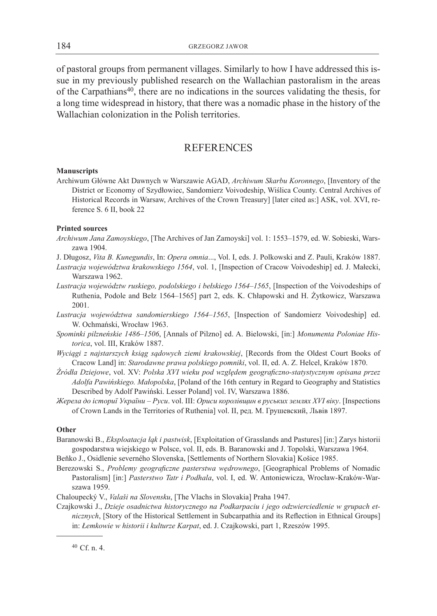of pastoral groups from permanent villages. Similarly to how I have addressed this issue in my previously published research on the Wallachian pastoralism in the areas of the Carpathians<sup>40</sup>, there are no indications in the sources validating the thesis, for a long time widespread in history, that there was a nomadic phase in the history of the Wallachian colonization in the Polish territories.

## REFERENCES

#### **Manuscripts**

Archiwum Główne Akt Dawnych w Warszawie AGAD, *Archiwum Skarbu Koronnego*, [Inventory of the District or Economy of Szydłowiec, Sandomierz Voivodeship, Wiślica County. Central Archives of Historical Records in Warsaw, Archives of the Crown Treasury] [later cited as:] ASK, vol. XVI, reference S. 6 II, book 22

#### **Printed sources**

- *Archiwum Jana Zamoyskiego*, [The Archives of Jan Zamoyski] vol. 1: 1553–1579, ed. W. Sobieski, Warszawa 1904.
- J. Długosz, *Vita B. Kunegundis*, In: *Opera omnia*..., Vol. I, eds. J. Polkowski and Z. Pauli, Kraków 1887.
- *Lustracja województwa krakowskiego 1564*, vol. 1, [Inspection of Cracow Voivodeship] ed. J. Małecki, Warszawa 1962.
- *Lustracja województw ruskiego, podolskiego i bełskiego 1564–1565*, [Inspection of the Voivodeships of Ruthenia, Podole and Bełz 1564–1565] part 2, eds. K. Chłapowski and H. Żytkowicz, Warszawa 2001.
- *Lustracja województwa sandomierskiego 1564–1565*, [Inspection of Sandomierz Voivodeship] ed. W. Ochmański, Wrocław 1963.
- *Spominki pilzneńskie 1486–1506*, [Annals of Pilzno] ed. A. Bielowski, [in:] *Monumenta Poloniae Historica*, vol. III, Kraków 1887.
- *Wyciągi z najstarszych ksiąg sądowych ziemi krakowskiej*, [Records from the Oldest Court Books of Cracow Land] in: *Starodawne prawa polskiego pomniki*, vol. II, ed. A. Z. Helcel, Kraków 1870.
- *Źródła Dziejowe*, vol. XV: *Polska XVI wieku pod względem geograficzno-statystycznym opisana przez Adolfa Pawińskiego. Małopolska*, [Poland of the 16th century in Regard to Geography and Statistics Described by Adolf Pawiński. Lesser Poland] vol. IV, Warszawa 1886.
- *Жерела до істориї України Руси*. vol. III: *Ориси королівщин в руських землях XVI віку*. [Inspections of Crown Lands in the Territories of Ruthenia] vol. II, ред. М. Грушевский, Львів 1897.

#### **Other**

- Baranowski B., *Eksploatacja łąk i pastwisk*, [Exploitation of Grasslands and Pastures] [in:] Zarys historii gospodarstwa wiejskiego w Polsce, vol. II, eds. B. Baranowski and J. Topolski, Warszawa 1964.
- Beňko J., Osidlenie severného Slovenska, [Settlements of Northern Slovakia] Košice 1985.
- Berezowski S., *Problemy geograficzne pasterstwa wędrownego*, [Geographical Problems of Nomadic Pastoralism] [in:] *Pasterstwo Tatr i Podhala*, vol. I, ed. W. Antoniewicza, Wrocław-Kraków-Warszawa 1959.
- Chaloupecký V., *Valaši na Slovensku*, [The Vlachs in Slovakia] Praha 1947.
- Czajkowski J., *Dzieje osadnictwa historycznego na Podkarpaciu i jego odzwierciedlenie w grupach etnicznych*, [Story of the Historical Settlement in Subcarpathia and its Reflection in Ethnical Groups] in: *Łemkowie w historii i kulturze Karpat*, ed. J. Czajkowski, part 1, Rzeszów 1995.

<sup>40</sup> Cf. n. 4.